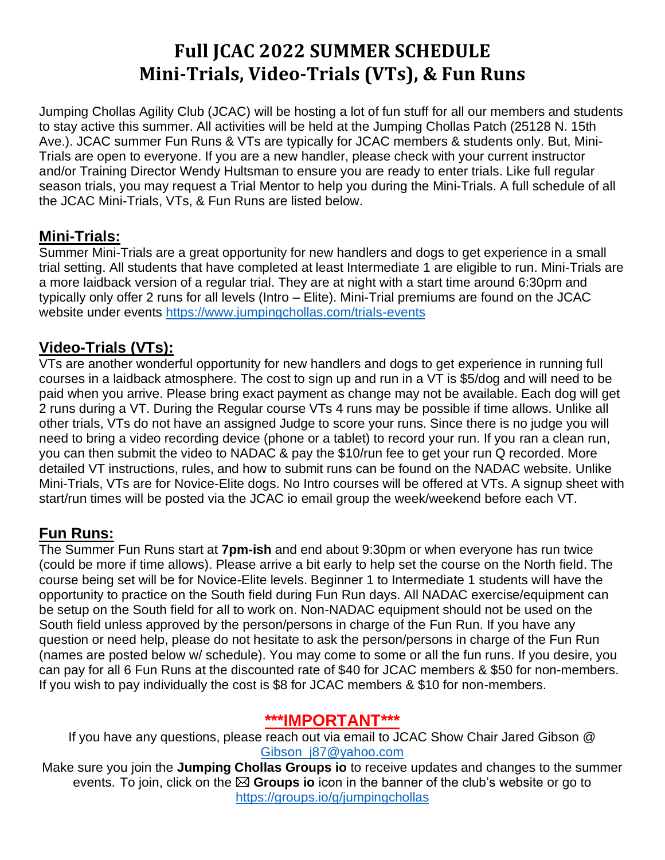# **Full JCAC 2022 SUMMER SCHEDULE Mini-Trials, Video-Trials (VTs), & Fun Runs**

Jumping Chollas Agility Club (JCAC) will be hosting a lot of fun stuff for all our members and students to stay active this summer. All activities will be held at the Jumping Chollas Patch (25128 N. 15th Ave.). JCAC summer Fun Runs & VTs are typically for JCAC members & students only. But, Mini-Trials are open to everyone. If you are a new handler, please check with your current instructor and/or Training Director Wendy Hultsman to ensure you are ready to enter trials. Like full regular season trials, you may request a Trial Mentor to help you during the Mini-Trials. A full schedule of all the JCAC Mini-Trials, VTs, & Fun Runs are listed below.

# **Mini-Trials:**

Summer Mini-Trials are a great opportunity for new handlers and dogs to get experience in a small trial setting. All students that have completed at least Intermediate 1 are eligible to run. Mini-Trials are a more laidback version of a regular trial. They are at night with a start time around 6:30pm and typically only offer 2 runs for all levels (Intro – Elite). Mini-Trial premiums are found on the JCAC website under events<https://www.jumpingchollas.com/trials-events>

# **Video-Trials (VTs):**

VTs are another wonderful opportunity for new handlers and dogs to get experience in running full courses in a laidback atmosphere. The cost to sign up and run in a VT is \$5/dog and will need to be paid when you arrive. Please bring exact payment as change may not be available. Each dog will get 2 runs during a VT. During the Regular course VTs 4 runs may be possible if time allows. Unlike all other trials, VTs do not have an assigned Judge to score your runs. Since there is no judge you will need to bring a video recording device (phone or a tablet) to record your run. If you ran a clean run, you can then submit the video to NADAC & pay the \$10/run fee to get your run Q recorded. More detailed VT instructions, rules, and how to submit runs can be found on the NADAC website. Unlike Mini-Trials, VTs are for Novice-Elite dogs. No Intro courses will be offered at VTs. A signup sheet with start/run times will be posted via the JCAC io email group the week/weekend before each VT.

#### **Fun Runs:**

The Summer Fun Runs start at **7pm-ish** and end about 9:30pm or when everyone has run twice (could be more if time allows). Please arrive a bit early to help set the course on the North field. The course being set will be for Novice-Elite levels. Beginner 1 to Intermediate 1 students will have the opportunity to practice on the South field during Fun Run days. All NADAC exercise/equipment can be setup on the South field for all to work on. Non-NADAC equipment should not be used on the South field unless approved by the person/persons in charge of the Fun Run. If you have any question or need help, please do not hesitate to ask the person/persons in charge of the Fun Run (names are posted below w/ schedule). You may come to some or all the fun runs. If you desire, you can pay for all 6 Fun Runs at the discounted rate of \$40 for JCAC members & \$50 for non-members. If you wish to pay individually the cost is \$8 for JCAC members & \$10 for non-members.

# **\*\*\*IMPORTANT\*\*\***

If you have any questions, please reach out via email to JCAC Show Chair Jared Gibson @ [Gibson\\_j87@yahoo.com](mailto:Gibson_j87@yahoo.com)

Make sure you join the **Jumping Chollas Groups io** to receive updates and changes to the summer events. To join, click on the **Groups io** icon in the banner of the club's website or go to <https://groups.io/g/jumpingchollas>